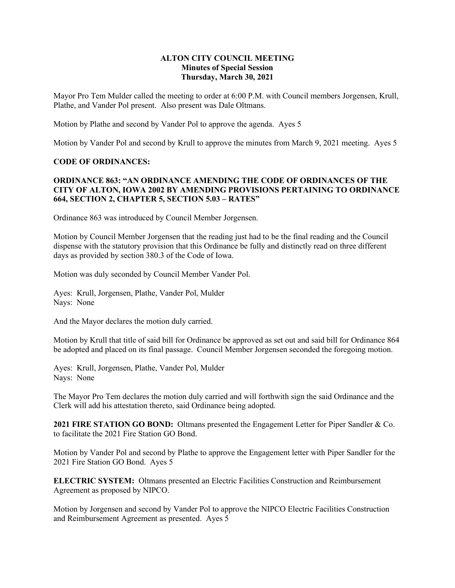### **ALTON CITY COUNCIL MEETING Minutes of Special Session Thursday, March 30, 2021**

Mayor Pro Tem Mulder called the meeting to order at 6:00 P.M. with Council members Jorgensen, Krull, Plathe, and Vander Pol present. Also present was Dale Oltmans.

Motion by Plathe and second by Vander Pol to approve the agenda. Ayes 5

Motion by Vander Pol and second by Krull to approve the minutes from March 9, 2021 meeting. Ayes 5

### **CODE OF ORDINANCES:**

## **ORDINANCE 863: "AN ORDINANCE AMENDING THE CODE OF ORDINANCES OF THE CITY OF ALTON, IOWA 2002 BY AMENDING PROVISIONS PERTAINING TO ORDINANCE 664, SECTION 2, CHAPTER 5, SECTION 5.03 – RATES"**

Ordinance 863 was introduced by Council Member Jorgensen.

Motion by Council Member Jorgensen that the reading just had to be the final reading and the Council dispense with the statutory provision that this Ordinance be fully and distinctly read on three different days as provided by section 380.3 of the Code of Iowa.

Motion was duly seconded by Council Member Vander Pol.

Ayes: Krull, Jorgensen, Plathe, Vander Pol, Mulder Nays: None

And the Mayor declares the motion duly carried.

Motion by Krull that title of said bill for Ordinance be approved as set out and said bill for Ordinance 864 be adopted and placed on its final passage. Council Member Jorgensen seconded the foregoing motion.

Ayes: Krull, Jorgensen, Plathe, Vander Pol, Mulder Nays: None

The Mayor Pro Tem declares the motion duly carried and will forthwith sign the said Ordinance and the Clerk will add his attestation thereto, said Ordinance being adopted.

**2021 FIRE STATION GO BOND:** Oltmans presented the Engagement Letter for Piper Sandler & Co. to facilitate the 2021 Fire Station GO Bond.

Motion by Vander Pol and second by Plathe to approve the Engagement letter with Piper Sandler for the 2021 Fire Station GO Bond. Ayes 5

**ELECTRIC SYSTEM:** Oltmans presented an Electric Facilities Construction and Reimbursement Agreement as proposed by NIPCO.

Motion by Jorgensen and second by Vander Pol to approve the NIPCO Electric Facilities Construction and Reimbursement Agreement as presented. Ayes 5